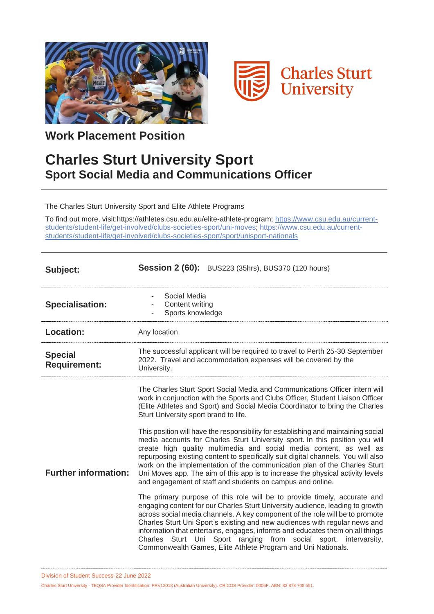



**Work Placement Position**

## **Charles Sturt University Sport Sport Social Media and Communications Officer**

The Charles Sturt University Sport and Elite Athlete Programs

To find out more, visit:https://athletes.csu.edu.au/elite-athlete-program; [https://www.csu.edu.au/current](https://www.csu.edu.au/current-students/student-life/get-involved/clubs-societies-sport/uni-moves)[students/student-life/get-involved/clubs-societies-sport/uni-moves;](https://www.csu.edu.au/current-students/student-life/get-involved/clubs-societies-sport/uni-moves) [https://www.csu.edu.au/current](https://www.csu.edu.au/current-students/student-life/get-involved/clubs-societies-sport/sport/unisport-nationals)[students/student-life/get-involved/clubs-societies-sport/sport/unisport-nationals](https://www.csu.edu.au/current-students/student-life/get-involved/clubs-societies-sport/sport/unisport-nationals)

| Subject:                              | <b>Session 2 (60):</b> BUS223 (35hrs), BUS370 (120 hours)                                                                                                                                                                                                                                                                                                                                                                                                                                                                                                                                                                                                                                                                                                                                                                                                                                                                                                                                                                                                                                                                                                                                                                                                         |
|---------------------------------------|-------------------------------------------------------------------------------------------------------------------------------------------------------------------------------------------------------------------------------------------------------------------------------------------------------------------------------------------------------------------------------------------------------------------------------------------------------------------------------------------------------------------------------------------------------------------------------------------------------------------------------------------------------------------------------------------------------------------------------------------------------------------------------------------------------------------------------------------------------------------------------------------------------------------------------------------------------------------------------------------------------------------------------------------------------------------------------------------------------------------------------------------------------------------------------------------------------------------------------------------------------------------|
| <b>Specialisation:</b>                | Social Media<br>Content writing<br>Sports knowledge                                                                                                                                                                                                                                                                                                                                                                                                                                                                                                                                                                                                                                                                                                                                                                                                                                                                                                                                                                                                                                                                                                                                                                                                               |
| <b>Location:</b>                      | Any location                                                                                                                                                                                                                                                                                                                                                                                                                                                                                                                                                                                                                                                                                                                                                                                                                                                                                                                                                                                                                                                                                                                                                                                                                                                      |
| <b>Special</b><br><b>Requirement:</b> | The successful applicant will be required to travel to Perth 25-30 September<br>2022. Travel and accommodation expenses will be covered by the<br>University.                                                                                                                                                                                                                                                                                                                                                                                                                                                                                                                                                                                                                                                                                                                                                                                                                                                                                                                                                                                                                                                                                                     |
| <b>Further information:</b>           | The Charles Sturt Sport Social Media and Communications Officer intern will<br>work in conjunction with the Sports and Clubs Officer, Student Liaison Officer<br>(Elite Athletes and Sport) and Social Media Coordinator to bring the Charles<br>Sturt University sport brand to life.<br>This position will have the responsibility for establishing and maintaining social<br>media accounts for Charles Sturt University sport. In this position you will<br>create high quality multimedia and social media content, as well as<br>repurposing existing content to specifically suit digital channels. You will also<br>work on the implementation of the communication plan of the Charles Sturt<br>Uni Moves app. The aim of this app is to increase the physical activity levels<br>and engagement of staff and students on campus and online.<br>The primary purpose of this role will be to provide timely, accurate and<br>engaging content for our Charles Sturt University audience, leading to growth<br>across social media channels. A key component of the role will be to promote<br>Charles Sturt Uni Sport's existing and new audiences with regular news and<br>information that entertains, engages, informs and educates them on all things |

Division of Student Success-22 June 2022

Charles Sturt University - TEQSA Provider Identification: PRV12018 (Australian University). CRICOS Provider: 0005F. ABN: 83 878 708 551.